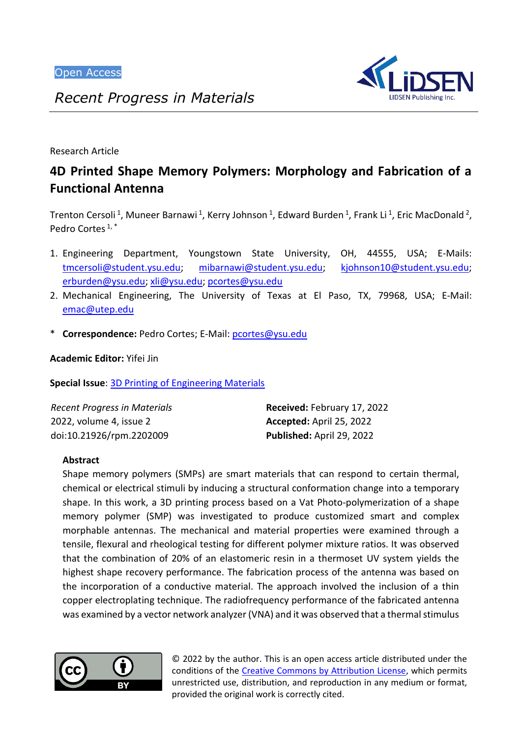

*Recent Progress in Materials*

Research Article

# **4D Printed Shape Memory Polymers: Morphology and Fabrication of a Functional Antenna**

Trenton Cersoli<sup>1</sup>, Muneer Barnawi<sup>1</sup>, Kerry Johnson<sup>1</sup>, Edward Burden<sup>1</sup>, Frank Li<sup>1</sup>, Eric MacDonald<sup>2</sup>, Pedro Cortes  $1, *$ 

- 1. Engineering Department, Youngstown State University, OH, 44555, USA; E-Mails: [tmcersoli@student.ysu.edu;](mailto:tmcersoli@student.ysu.edu) [mibarnawi@student.ysu.edu;](mailto:mibarnawi@student.ysu.edu) [kjohnson10@student.ysu.edu;](mailto:kjohnson10@student.ysu.edu) [erburden@ysu.edu;](mailto:erburden@ysu.edu) [xli@ysu.edu;](mailto:xli@ysu.edu) [pcortes@ysu.edu](mailto:pcortes@ysu.edu)
- 2. Mechanical Engineering, The University of Texas at El Paso, TX, 79968, USA; E-Mail: [emac@utep.edu](mailto:emac@utep.edu)
- \* **Correspondence:** Pedro Cortes; E-Mail: [pcortes@ysu.edu](mailto:pcortes@ysu.edu)

**Academic Editor:** Yifei Jin

**Special Issue**: 3D Printing of [Engineering](https://www.lidsen.com/journals/rpm/rpm-special-issues/3D-Printing-Engineering-Materials) Materials

| Recent Progress in Materials | Received: February 17, 2022 |
|------------------------------|-----------------------------|
| 2022, volume 4, issue 2      | Accepted: April 25, 2022    |
| doi:10.21926/rpm.2202009     | Published: April 29, 2022   |

# **Abstract**

Shape memory polymers (SMPs) are smart materials that can respond to certain thermal, chemical or electrical stimuli by inducing a structural conformation change into a temporary shape. In this work, a 3D printing process based on a Vat Photo-polymerization of a shape memory polymer (SMP) was investigated to produce customized smart and complex morphable antennas. The mechanical and material properties were examined through a tensile, flexural and rheological testing for different polymer mixture ratios. It was observed that the combination of 20% of an elastomeric resin in a thermoset UV system yields the highest shape recovery performance. The fabrication process of the antenna was based on the incorporation of a conductive material. The approach involved the inclusion of a thin copper electroplating technique. The radiofrequency performance of the fabricated antenna was examined by a vector network analyzer (VNA) and it was observed that a thermal stimulus



© 2022 by the author. This is an open access article distributed under the conditions of the [Creative Commons by Attribution License,](http://creativecommons.org/licenses/by/4.0/) which permits unrestricted use, distribution, and reproduction in any medium or format, provided the original work is correctly cited.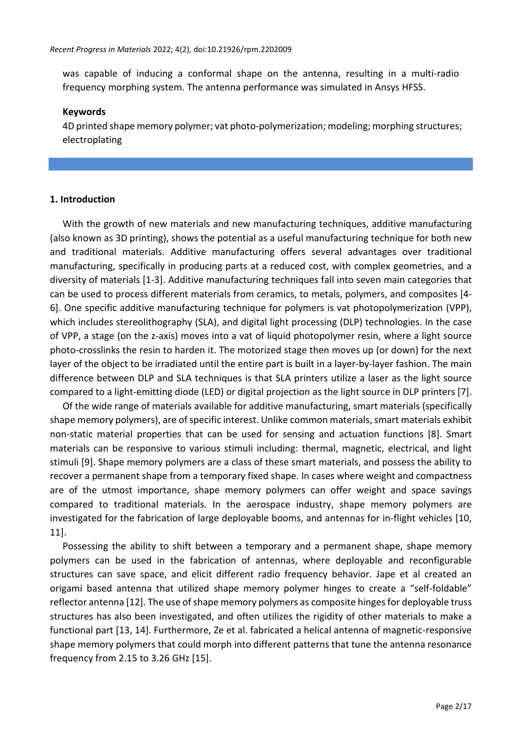was capable of inducing a conformal shape on the antenna, resulting in a multi-radio frequency morphing system. The antenna performance was simulated in Ansys HFSS.

#### **Keywords**

4D printed shape memory polymer; vat photo-polymerization; modeling; morphing structures; electroplating

#### **1. Introduction**

With the growth of new materials and new manufacturing techniques, additive manufacturing (also known as 3D printing), shows the potential as a useful manufacturing technique for both new and traditional materials. Additive manufacturing offers several advantages over traditional manufacturing, specifically in producing parts at a reduced cost, with complex geometries, and a diversity of materials [1-3]. Additive manufacturing techniques fall into seven main categories that can be used to process different materials from ceramics, to metals, polymers, and composites [4- 6]. One specific additive manufacturing technique for polymers is vat photopolymerization (VPP), which includes stereolithography (SLA), and digital light processing (DLP) technologies. In the case of VPP, a stage (on the z-axis) moves into a vat of liquid photopolymer resin, where a light source photo-crosslinks the resin to harden it. The motorized stage then moves up (or down) for the next layer of the object to be irradiated until the entire part is built in a layer-by-layer fashion. The main difference between DLP and SLA techniques is that SLA printers utilize a laser as the light source compared to a light-emitting diode (LED) or digital projection as the light source in DLP printers [7].

Of the wide range of materials available for additive manufacturing, smart materials (specifically shape memory polymers), are of specific interest. Unlike common materials, smart materials exhibit non-static material properties that can be used for sensing and actuation functions [8]. Smart materials can be responsive to various stimuli including: thermal, magnetic, electrical, and light stimuli [9]. Shape memory polymers are a class of these smart materials, and possess the ability to recover a permanent shape from a temporary fixed shape. In cases where weight and compactness are of the utmost importance, shape memory polymers can offer weight and space savings compared to traditional materials. In the aerospace industry, shape memory polymers are investigated for the fabrication of large deployable booms, and antennas for in-flight vehicles [10, 11].

Possessing the ability to shift between a temporary and a permanent shape, shape memory polymers can be used in the fabrication of antennas, where deployable and reconfigurable structures can save space, and elicit different radio frequency behavior. Jape et al created an origami based antenna that utilized shape memory polymer hinges to create a "self-foldable" reflector antenna [12]. The use of shape memory polymers as composite hinges for deployable truss structures has also been investigated, and often utilizes the rigidity of other materials to make a functional part [13, 14]. Furthermore, Ze et al. fabricated a helical antenna of magnetic-responsive shape memory polymers that could morph into different patterns that tune the antenna resonance frequency from 2.15 to 3.26 GHz [15].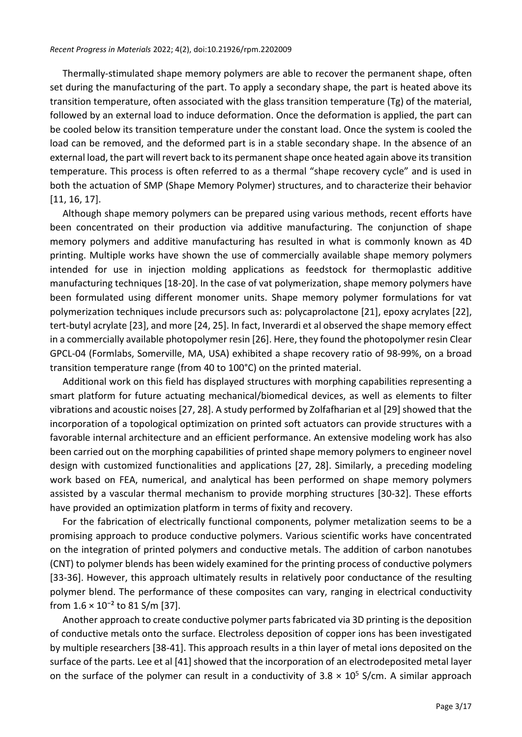Thermally-stimulated shape memory polymers are able to recover the permanent shape, often set during the manufacturing of the part. To apply a secondary shape, the part is heated above its transition temperature, often associated with the glass transition temperature (Tg) of the material, followed by an external load to induce deformation. Once the deformation is applied, the part can be cooled below its transition temperature under the constant load. Once the system is cooled the load can be removed, and the deformed part is in a stable secondary shape. In the absence of an external load, the part will revert back to its permanent shape once heated again above its transition temperature. This process is often referred to as a thermal "shape recovery cycle" and is used in both the actuation of SMP (Shape Memory Polymer) structures, and to characterize their behavior [11, 16, 17].

Although shape memory polymers can be prepared using various methods, recent efforts have been concentrated on their production via additive manufacturing. The conjunction of shape memory polymers and additive manufacturing has resulted in what is commonly known as 4D printing. Multiple works have shown the use of commercially available shape memory polymers intended for use in injection molding applications as feedstock for thermoplastic additive manufacturing techniques [18-20]. In the case of vat polymerization, shape memory polymers have been formulated using different monomer units. Shape memory polymer formulations for vat polymerization techniques include precursors such as: polycaprolactone [21], epoxy acrylates [22], tert-butyl acrylate [23], and more [24, 25]. In fact, Inverardi et al observed the shape memory effect in a commercially available photopolymer resin [26]. Here, they found the photopolymer resin Clear GPCL-04 (Formlabs, Somerville, MA, USA) exhibited a shape recovery ratio of 98-99%, on a broad transition temperature range (from 40 to 100°C) on the printed material.

Additional work on this field has displayed structures with morphing capabilities representing a smart platform for future actuating mechanical/biomedical devices, as well as elements to filter vibrations and acoustic noises [27, 28]. A study performed by Zolfafharian et al [29] showed that the incorporation of a topological optimization on printed soft actuators can provide structures with a favorable internal architecture and an efficient performance. An extensive modeling work has also been carried out on the morphing capabilities of printed shape memory polymers to engineer novel design with customized functionalities and applications [27, 28]. Similarly, a preceding modeling work based on FEA, numerical, and analytical has been performed on shape memory polymers assisted by a vascular thermal mechanism to provide morphing structures [30-32]. These efforts have provided an optimization platform in terms of fixity and recovery.

For the fabrication of electrically functional components, polymer metalization seems to be a promising approach to produce conductive polymers. Various scientific works have concentrated on the integration of printed polymers and conductive metals. The addition of carbon nanotubes (CNT) to polymer blends has been widely examined for the printing process of conductive polymers [33-36]. However, this approach ultimately results in relatively poor conductance of the resulting polymer blend. The performance of these composites can vary, ranging in electrical conductivity from  $1.6 \times 10^{-2}$  to 81 S/m [37].

Another approach to create conductive polymer parts fabricated via 3D printing is the deposition of conductive metals onto the surface. Electroless deposition of copper ions has been investigated by multiple researchers [38-41]. This approach results in a thin layer of metal ions deposited on the surface of the parts. Lee et al [41] showed that the incorporation of an electrodeposited metal layer on the surface of the polymer can result in a conductivity of  $3.8 \times 10^5$  S/cm. A similar approach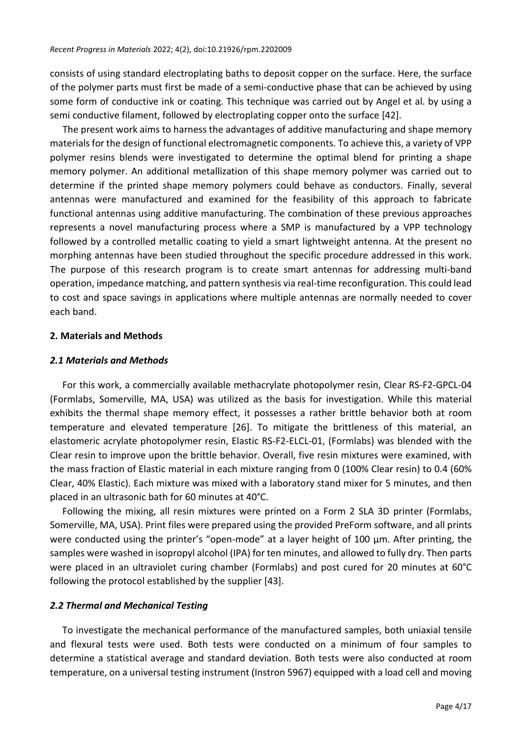consists of using standard electroplating baths to deposit copper on the surface. Here, the surface of the polymer parts must first be made of a semi-conductive phase that can be achieved by using some form of conductive ink or coating. This technique was carried out by Angel et al. by using a semi conductive filament, followed by electroplating copper onto the surface [42].

The present work aims to harness the advantages of additive manufacturing and shape memory materials for the design of functional electromagnetic components. To achieve this, a variety of VPP polymer resins blends were investigated to determine the optimal blend for printing a shape memory polymer. An additional metallization of this shape memory polymer was carried out to determine if the printed shape memory polymers could behave as conductors. Finally, several antennas were manufactured and examined for the feasibility of this approach to fabricate functional antennas using additive manufacturing. The combination of these previous approaches represents a novel manufacturing process where a SMP is manufactured by a VPP technology followed by a controlled metallic coating to yield a smart lightweight antenna. At the present no morphing antennas have been studied throughout the specific procedure addressed in this work. The purpose of this research program is to create smart antennas for addressing multi-band operation, impedance matching, and pattern synthesis via real-time reconfiguration. This could lead to cost and space savings in applications where multiple antennas are normally needed to cover each band.

#### **2. Materials and Methods**

#### *2.1 Materials and Methods*

For this work, a commercially available methacrylate photopolymer resin, Clear RS-F2-GPCL-04 (Formlabs, Somerville, MA, USA) was utilized as the basis for investigation. While this material exhibits the thermal shape memory effect, it possesses a rather brittle behavior both at room temperature and elevated temperature [26]. To mitigate the brittleness of this material, an elastomeric acrylate photopolymer resin, Elastic RS-F2-ELCL-01, (Formlabs) was blended with the Clear resin to improve upon the brittle behavior. Overall, five resin mixtures were examined, with the mass fraction of Elastic material in each mixture ranging from 0 (100% Clear resin) to 0.4 (60% Clear, 40% Elastic). Each mixture was mixed with a laboratory stand mixer for 5 minutes, and then placed in an ultrasonic bath for 60 minutes at 40°C.

Following the mixing, all resin mixtures were printed on a Form 2 SLA 3D printer (Formlabs, Somerville, MA, USA). Print files were prepared using the provided PreForm software, and all prints were conducted using the printer's "open-mode" at a layer height of 100 μm. After printing, the samples were washed in isopropyl alcohol (IPA) for ten minutes, and allowed to fully dry. Then parts were placed in an ultraviolet curing chamber (Formlabs) and post cured for 20 minutes at 60°C following the protocol established by the supplier [43].

# *2.2 Thermal and Mechanical Testing*

To investigate the mechanical performance of the manufactured samples, both uniaxial tensile and flexural tests were used. Both tests were conducted on a minimum of four samples to determine a statistical average and standard deviation. Both tests were also conducted at room temperature, on a universal testing instrument (Instron 5967) equipped with a load cell and moving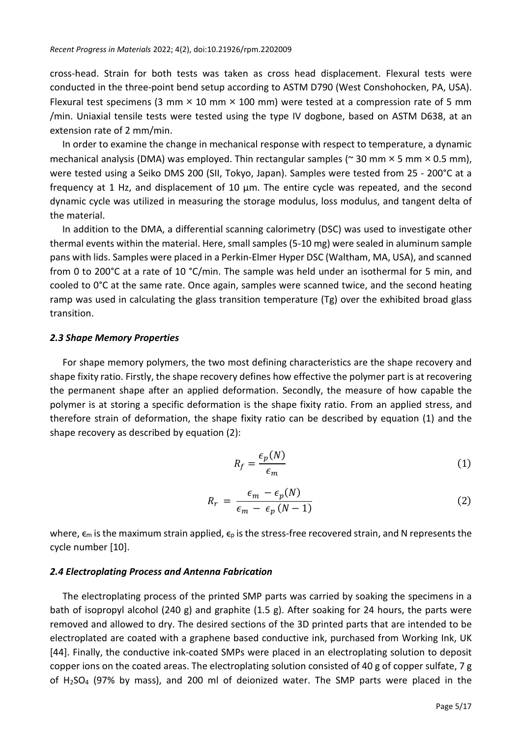cross-head. Strain for both tests was taken as cross head displacement. Flexural tests were conducted in the three-point bend setup according to ASTM D790 (West Conshohocken, PA, USA). Flexural test specimens (3 mm  $\times$  10 mm  $\times$  100 mm) were tested at a compression rate of 5 mm /min. Uniaxial tensile tests were tested using the type IV dogbone, based on ASTM D638, at an extension rate of 2 mm/min.

In order to examine the change in mechanical response with respect to temperature, a dynamic mechanical analysis (DMA) was employed. Thin rectangular samples ( $\approx$  30 mm  $\times$  5 mm  $\times$  0.5 mm), were tested using a Seiko DMS 200 (SII, Tokyo, Japan). Samples were tested from 25 - 200°C at a frequency at 1 Hz, and displacement of 10 μm. The entire cycle was repeated, and the second dynamic cycle was utilized in measuring the storage modulus, loss modulus, and tangent delta of the material.

In addition to the DMA, a differential scanning calorimetry (DSC) was used to investigate other thermal events within the material. Here, small samples (5-10 mg) were sealed in aluminum sample pans with lids. Samples were placed in a Perkin-Elmer Hyper DSC (Waltham, MA, USA), and scanned from 0 to 200°C at a rate of 10 °C/min. The sample was held under an isothermal for 5 min, and cooled to 0°C at the same rate. Once again, samples were scanned twice, and the second heating ramp was used in calculating the glass transition temperature (Tg) over the exhibited broad glass transition.

#### *2.3 Shape Memory Properties*

For shape memory polymers, the two most defining characteristics are the shape recovery and shape fixity ratio. Firstly, the shape recovery defines how effective the polymer part is at recovering the permanent shape after an applied deformation. Secondly, the measure of how capable the polymer is at storing a specific deformation is the shape fixity ratio. From an applied stress, and therefore strain of deformation, the shape fixity ratio can be described by equation (1) and the shape recovery as described by equation (2):

$$
R_f = \frac{\epsilon_p(N)}{\epsilon_m} \tag{1}
$$

$$
R_r = \frac{\epsilon_m - \epsilon_p(N)}{\epsilon_m - \epsilon_p (N-1)}
$$
\n(2)

where,  $\epsilon_m$  is the maximum strain applied,  $\epsilon_p$  is the stress-free recovered strain, and N represents the cycle number [10].

#### *2.4 Electroplating Process and Antenna Fabrication*

The electroplating process of the printed SMP parts was carried by soaking the specimens in a bath of isopropyl alcohol (240 g) and graphite (1.5 g). After soaking for 24 hours, the parts were removed and allowed to dry. The desired sections of the 3D printed parts that are intended to be electroplated are coated with a graphene based conductive ink, purchased from Working Ink, UK [44]. Finally, the conductive ink-coated SMPs were placed in an electroplating solution to deposit copper ions on the coated areas. The electroplating solution consisted of 40 g of copper sulfate, 7 g of  $H_2SO_4$  (97% by mass), and 200 ml of deionized water. The SMP parts were placed in the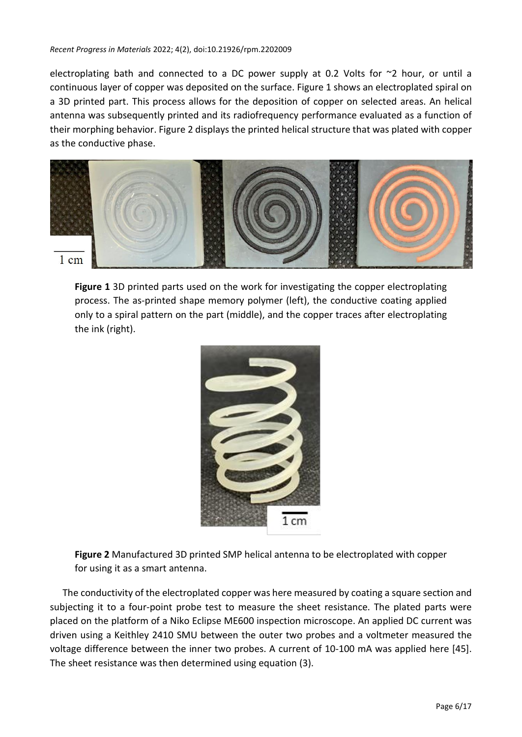electroplating bath and connected to a DC power supply at 0.2 Volts for  $\sim$ 2 hour, or until a continuous layer of copper was deposited on the surface. Figure 1 shows an electroplated spiral on a 3D printed part. This process allows for the deposition of copper on selected areas. An helical antenna was subsequently printed and its radiofrequency performance evaluated as a function of their morphing behavior. Figure 2 displays the printed helical structure that was plated with copper as the conductive phase.



**Figure 1** 3D printed parts used on the work for investigating the copper electroplating process. The as-printed shape memory polymer (left), the conductive coating applied only to a spiral pattern on the part (middle), and the copper traces after electroplating the ink (right).



**Figure 2** Manufactured 3D printed SMP helical antenna to be electroplated with copper for using it as a smart antenna.

The conductivity of the electroplated copper was here measured by coating a square section and subjecting it to a four-point probe test to measure the sheet resistance. The plated parts were placed on the platform of a Niko Eclipse ME600 inspection microscope. An applied DC current was driven using a Keithley 2410 SMU between the outer two probes and a voltmeter measured the voltage difference between the inner two probes. A current of 10-100 mA was applied here [45]. The sheet resistance was then determined using equation (3).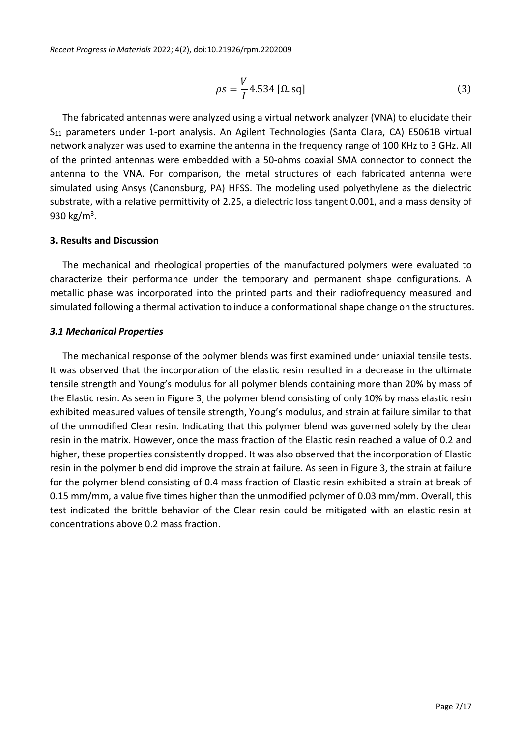$$
\rho s = \frac{V}{I} 4.534 \left[ \Omega \cdot sq \right] \tag{3}
$$

The fabricated antennas were analyzed using a virtual network analyzer (VNA) to elucidate their S<sub>11</sub> parameters under 1-port analysis. An Agilent Technologies (Santa Clara, CA) E5061B virtual network analyzer was used to examine the antenna in the frequency range of 100 KHz to 3 GHz. All of the printed antennas were embedded with a 50-ohms coaxial SMA connector to connect the antenna to the VNA. For comparison, the metal structures of each fabricated antenna were simulated using Ansys (Canonsburg, PA) HFSS. The modeling used polyethylene as the dielectric substrate, with a relative permittivity of 2.25, a dielectric loss tangent 0.001, and a mass density of 930 kg/m<sup>3</sup>.

# **3. Results and Discussion**

The mechanical and rheological properties of the manufactured polymers were evaluated to characterize their performance under the temporary and permanent shape configurations. A metallic phase was incorporated into the printed parts and their radiofrequency measured and simulated following a thermal activation to induce a conformational shape change on the structures.

# *3.1 Mechanical Properties*

The mechanical response of the polymer blends was first examined under uniaxial tensile tests. It was observed that the incorporation of the elastic resin resulted in a decrease in the ultimate tensile strength and Young's modulus for all polymer blends containing more than 20% by mass of the Elastic resin. As seen in Figure 3, the polymer blend consisting of only 10% by mass elastic resin exhibited measured values of tensile strength, Young's modulus, and strain at failure similar to that of the unmodified Clear resin. Indicating that this polymer blend was governed solely by the clear resin in the matrix. However, once the mass fraction of the Elastic resin reached a value of 0.2 and higher, these properties consistently dropped. It was also observed that the incorporation of Elastic resin in the polymer blend did improve the strain at failure. As seen in Figure 3, the strain at failure for the polymer blend consisting of 0.4 mass fraction of Elastic resin exhibited a strain at break of 0.15 mm/mm, a value five times higher than the unmodified polymer of 0.03 mm/mm. Overall, this test indicated the brittle behavior of the Clear resin could be mitigated with an elastic resin at concentrations above 0.2 mass fraction.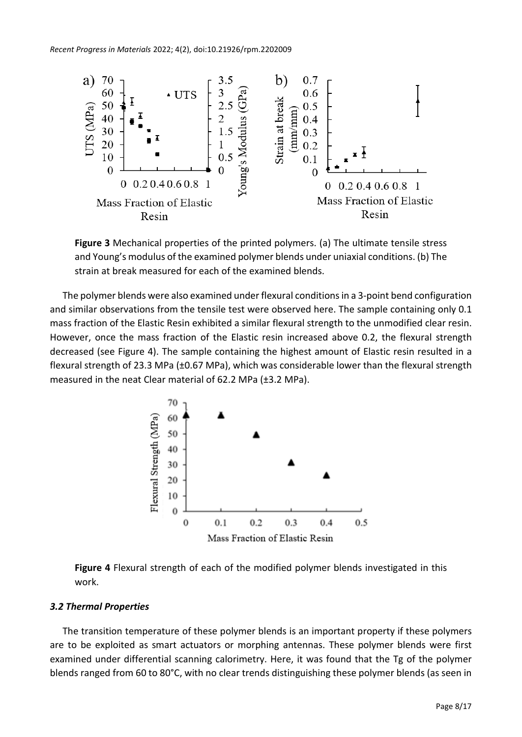*Recent Progress in Materials* 2022; 4(2), doi:10.21926/rpm.2202009



**Figure 3** Mechanical properties of the printed polymers. (a) The ultimate tensile stress and Young's modulus of the examined polymer blends under uniaxial conditions. (b) The strain at break measured for each of the examined blends.

The polymer blends were also examined under flexural conditions in a 3-point bend configuration and similar observations from the tensile test were observed here. The sample containing only 0.1 mass fraction of the Elastic Resin exhibited a similar flexural strength to the unmodified clear resin. However, once the mass fraction of the Elastic resin increased above 0.2, the flexural strength decreased (see Figure 4). The sample containing the highest amount of Elastic resin resulted in a flexural strength of 23.3 MPa (±0.67 MPa), which was considerable lower than the flexural strength measured in the neat Clear material of 62.2 MPa (±3.2 MPa).



**Figure 4** Flexural strength of each of the modified polymer blends investigated in this work.

# *3.2 Thermal Properties*

The transition temperature of these polymer blends is an important property if these polymers are to be exploited as smart actuators or morphing antennas. These polymer blends were first examined under differential scanning calorimetry. Here, it was found that the Tg of the polymer blends ranged from 60 to 80°C, with no clear trends distinguishing these polymer blends (as seen in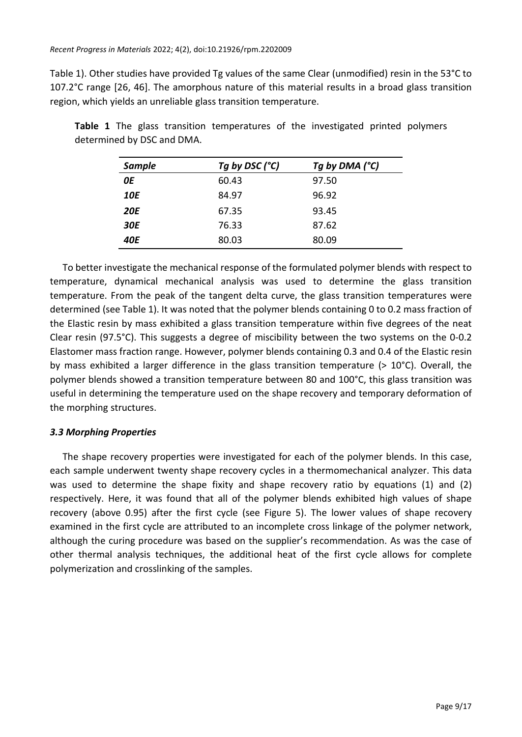Table 1). Other studies have provided Tg values of the same Clear (unmodified) resin in the 53°C to 107.2°C range [26, 46]. The amorphous nature of this material results in a broad glass transition region, which yields an unreliable glass transition temperature.

| <b>Sample</b> | Tg by DSC (°C) | Tg by DMA (°C) |
|---------------|----------------|----------------|
| 0E            | 60.43          | 97.50          |
| 10E           | 84.97          | 96.92          |
| <b>20E</b>    | 67.35          | 93.45          |
| <b>30E</b>    | 76.33          | 87.62          |
| <b>40E</b>    | 80.03          | 80.09          |

**Table 1** The glass transition temperatures of the investigated printed polymers determined by DSC and DMA.

To better investigate the mechanical response of the formulated polymer blends with respect to temperature, dynamical mechanical analysis was used to determine the glass transition temperature. From the peak of the tangent delta curve, the glass transition temperatures were determined (see Table 1). It was noted that the polymer blends containing 0 to 0.2 mass fraction of the Elastic resin by mass exhibited a glass transition temperature within five degrees of the neat Clear resin (97.5°C). This suggests a degree of miscibility between the two systems on the 0-0.2 Elastomer mass fraction range. However, polymer blends containing 0.3 and 0.4 of the Elastic resin by mass exhibited a larger difference in the glass transition temperature (> 10°C). Overall, the polymer blends showed a transition temperature between 80 and 100°C, this glass transition was useful in determining the temperature used on the shape recovery and temporary deformation of the morphing structures.

# *3.3 Morphing Properties*

The shape recovery properties were investigated for each of the polymer blends. In this case, each sample underwent twenty shape recovery cycles in a thermomechanical analyzer. This data was used to determine the shape fixity and shape recovery ratio by equations (1) and (2) respectively. Here, it was found that all of the polymer blends exhibited high values of shape recovery (above 0.95) after the first cycle (see Figure 5). The lower values of shape recovery examined in the first cycle are attributed to an incomplete cross linkage of the polymer network, although the curing procedure was based on the supplier's recommendation. As was the case of other thermal analysis techniques, the additional heat of the first cycle allows for complete polymerization and crosslinking of the samples.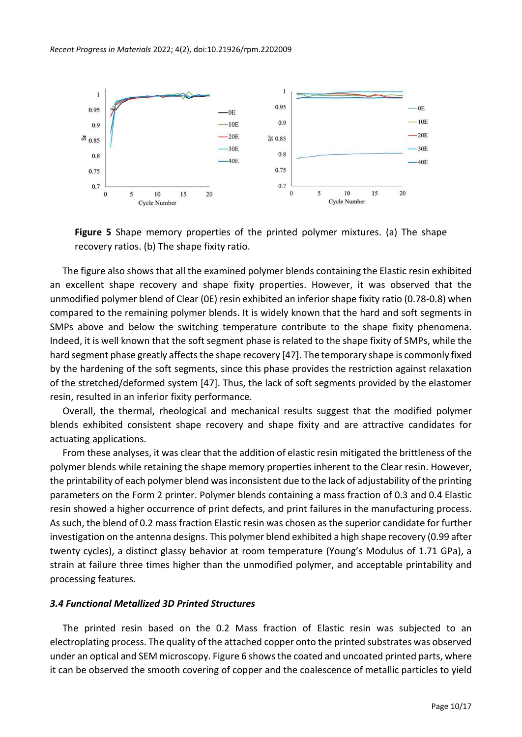

**Figure 5** Shape memory properties of the printed polymer mixtures. (a) The shape recovery ratios. (b) The shape fixity ratio.

The figure also shows that all the examined polymer blends containing the Elastic resin exhibited an excellent shape recovery and shape fixity properties. However, it was observed that the unmodified polymer blend of Clear (0E) resin exhibited an inferior shape fixity ratio (0.78-0.8) when compared to the remaining polymer blends. It is widely known that the hard and soft segments in SMPs above and below the switching temperature contribute to the shape fixity phenomena. Indeed, it is well known that the soft segment phase is related to the shape fixity of SMPs, while the hard segment phase greatly affects the shape recovery [47]. The temporary shape is commonly fixed by the hardening of the soft segments, since this phase provides the restriction against relaxation of the stretched/deformed system [47]. Thus, the lack of soft segments provided by the elastomer resin, resulted in an inferior fixity performance.

Overall, the thermal, rheological and mechanical results suggest that the modified polymer blends exhibited consistent shape recovery and shape fixity and are attractive candidates for actuating applications.

From these analyses, it was clear that the addition of elastic resin mitigated the brittleness of the polymer blends while retaining the shape memory properties inherent to the Clear resin. However, the printability of each polymer blend wasinconsistent due to the lack of adjustability of the printing parameters on the Form 2 printer. Polymer blends containing a mass fraction of 0.3 and 0.4 Elastic resin showed a higher occurrence of print defects, and print failures in the manufacturing process. As such, the blend of 0.2 mass fraction Elastic resin was chosen asthe superior candidate for further investigation on the antenna designs. This polymer blend exhibited a high shape recovery (0.99 after twenty cycles), a distinct glassy behavior at room temperature (Young's Modulus of 1.71 GPa), a strain at failure three times higher than the unmodified polymer, and acceptable printability and processing features.

#### *3.4 Functional Metallized 3D Printed Structures*

The printed resin based on the 0.2 Mass fraction of Elastic resin was subjected to an electroplating process. The quality of the attached copper onto the printed substrates was observed under an optical and SEM microscopy. Figure 6 shows the coated and uncoated printed parts, where it can be observed the smooth covering of copper and the coalescence of metallic particles to yield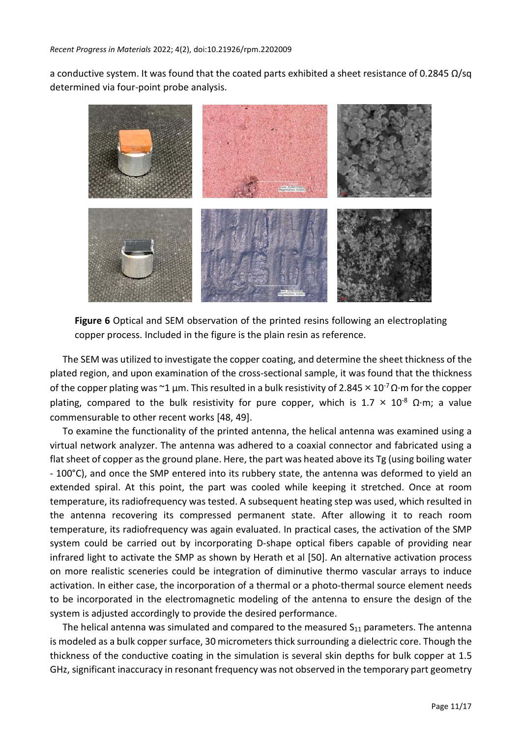a conductive system. It was found that the coated parts exhibited a sheet resistance of 0.2845 Ω/sq determined via four-point probe analysis.



**Figure 6** Optical and SEM observation of the printed resins following an electroplating copper process. Included in the figure is the plain resin as reference.

The SEM was utilized to investigate the copper coating, and determine the sheet thickness of the plated region, and upon examination of the cross-sectional sample, it was found that the thickness of the copper plating was ~1 µm. This resulted in a bulk resistivity of 2.845  $\times$  10<sup>-7</sup> Q·m for the copper plating, compared to the bulk resistivity for pure copper, which is 1.7  $\times$  10<sup>-8</sup> Ω·m; a value commensurable to other recent works [48, 49].

To examine the functionality of the printed antenna, the helical antenna was examined using a virtual network analyzer. The antenna was adhered to a coaxial connector and fabricated using a flat sheet of copper asthe ground plane. Here, the part was heated above its Tg (using boiling water - 100°C), and once the SMP entered into its rubbery state, the antenna was deformed to yield an extended spiral. At this point, the part was cooled while keeping it stretched. Once at room temperature, its radiofrequency was tested. A subsequent heating step was used, which resulted in the antenna recovering its compressed permanent state. After allowing it to reach room temperature, its radiofrequency was again evaluated. In practical cases, the activation of the SMP system could be carried out by incorporating D-shape optical fibers capable of providing near infrared light to activate the SMP as shown by Herath et al [50]. An alternative activation process on more realistic sceneries could be integration of diminutive thermo vascular arrays to induce activation. In either case, the incorporation of a thermal or a photo-thermal source element needs to be incorporated in the electromagnetic modeling of the antenna to ensure the design of the system is adjusted accordingly to provide the desired performance.

The helical antenna was simulated and compared to the measured  $S_{11}$  parameters. The antenna is modeled as a bulk copper surface, 30 micrometers thick surrounding a dielectric core. Though the thickness of the conductive coating in the simulation is several skin depths for bulk copper at 1.5 GHz, significant inaccuracy in resonant frequency was not observed in the temporary part geometry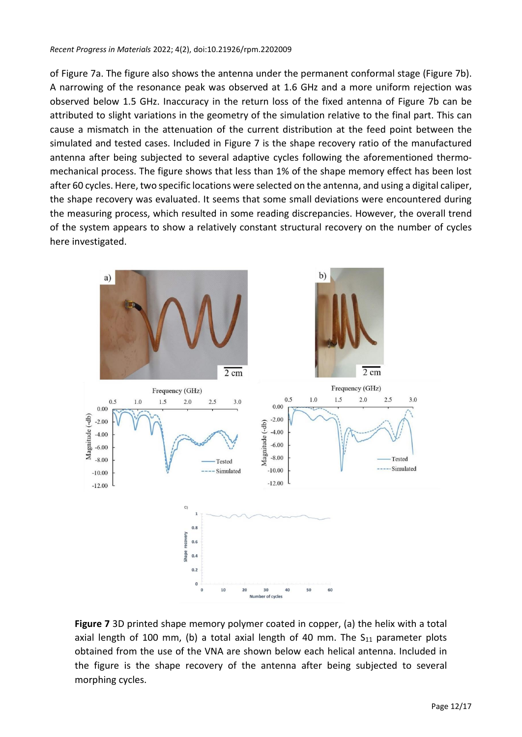of Figure 7a. The figure also shows the antenna under the permanent conformal stage (Figure 7b). A narrowing of the resonance peak was observed at 1.6 GHz and a more uniform rejection was observed below 1.5 GHz. Inaccuracy in the return loss of the fixed antenna of Figure 7b can be attributed to slight variations in the geometry of the simulation relative to the final part. This can cause a mismatch in the attenuation of the current distribution at the feed point between the simulated and tested cases. Included in Figure 7 is the shape recovery ratio of the manufactured antenna after being subjected to several adaptive cycles following the aforementioned thermomechanical process. The figure shows that less than 1% of the shape memory effect has been lost after 60 cycles. Here, two specific locations were selected on the antenna, and using a digital caliper, the shape recovery was evaluated. It seems that some small deviations were encountered during the measuring process, which resulted in some reading discrepancies. However, the overall trend of the system appears to show a relatively constant structural recovery on the number of cycles here investigated.



**Figure 7** 3D printed shape memory polymer coated in copper, (a) the helix with a total axial length of 100 mm, (b) a total axial length of 40 mm. The  $S_{11}$  parameter plots obtained from the use of the VNA are shown below each helical antenna. Included in the figure is the shape recovery of the antenna after being subjected to several morphing cycles.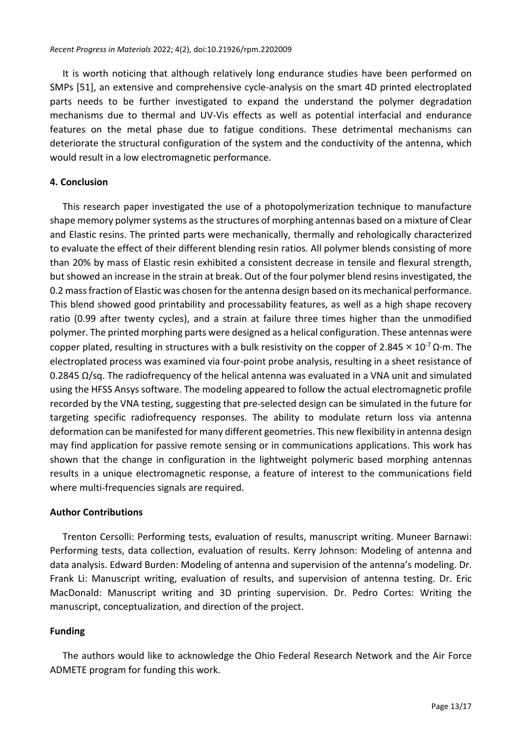It is worth noticing that although relatively long endurance studies have been performed on SMPs [51], an extensive and comprehensive cycle-analysis on the smart 4D printed electroplated parts needs to be further investigated to expand the understand the polymer degradation mechanisms due to thermal and UV-Vis effects as well as potential interfacial and endurance features on the metal phase due to fatigue conditions. These detrimental mechanisms can deteriorate the structural configuration of the system and the conductivity of the antenna, which would result in a low electromagnetic performance.

# **4. Conclusion**

This research paper investigated the use of a photopolymerization technique to manufacture shape memory polymer systems as the structures of morphing antennas based on a mixture of Clear and Elastic resins. The printed parts were mechanically, thermally and rehologically characterized to evaluate the effect of their different blending resin ratios. All polymer blends consisting of more than 20% by mass of Elastic resin exhibited a consistent decrease in tensile and flexural strength, but showed an increase in the strain at break. Out of the four polymer blend resins investigated, the 0.2 massfraction of Elastic was chosen for the antenna design based on its mechanical performance. This blend showed good printability and processability features, as well as a high shape recovery ratio (0.99 after twenty cycles), and a strain at failure three times higher than the unmodified polymer. The printed morphing parts were designed as a helical configuration. These antennas were copper plated, resulting in structures with a bulk resistivity on the copper of 2.845  $\times$  10<sup>-7</sup>  $\Omega$ ·m. The electroplated process was examined via four-point probe analysis, resulting in a sheet resistance of 0.2845 Ω/sq. The radiofrequency of the helical antenna was evaluated in a VNA unit and simulated using the HFSS Ansys software. The modeling appeared to follow the actual electromagnetic profile recorded by the VNA testing, suggesting that pre-selected design can be simulated in the future for targeting specific radiofrequency responses. The ability to modulate return loss via antenna deformation can be manifested for many different geometries. This new flexibility in antenna design may find application for passive remote sensing or in communications applications. This work has shown that the change in configuration in the lightweight polymeric based morphing antennas results in a unique electromagnetic response, a feature of interest to the communications field where multi-frequencies signals are required.

# **Author Contributions**

Trenton Cersolli: Performing tests, evaluation of results, manuscript writing. Muneer Barnawi: Performing tests, data collection, evaluation of results. Kerry Johnson: Modeling of antenna and data analysis. Edward Burden: Modeling of antenna and supervision of the antenna's modeling. Dr. Frank Li: Manuscript writing, evaluation of results, and supervision of antenna testing. Dr. Eric MacDonald: Manuscript writing and 3D printing supervision. Dr. Pedro Cortes: Writing the manuscript, conceptualization, and direction of the project.

# **Funding**

The authors would like to acknowledge the Ohio Federal Research Network and the Air Force ADMETE program for funding this work.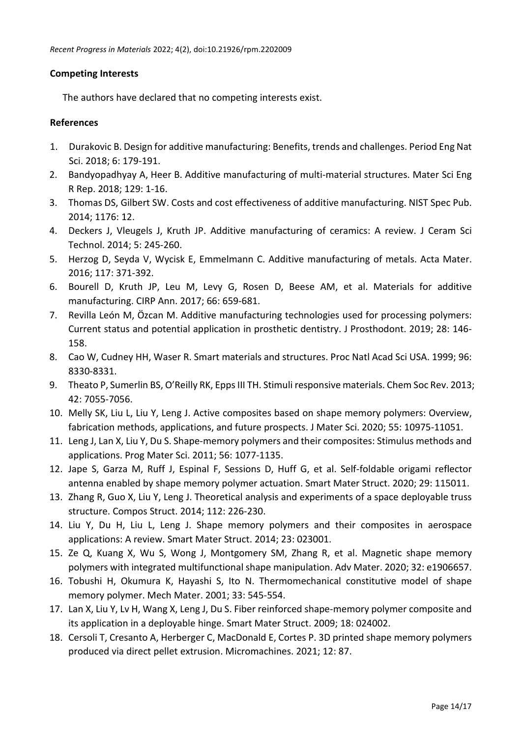# **Competing Interests**

The authors have declared that no competing interests exist.

#### **References**

- 1. Durakovic B. Design for additive manufacturing: Benefits, trends and challenges. Period Eng Nat Sci. 2018; 6: 179-191.
- 2. Bandyopadhyay A, Heer B. Additive manufacturing of multi-material structures. Mater Sci Eng R Rep. 2018; 129: 1-16.
- 3. Thomas DS, Gilbert SW. Costs and cost effectiveness of additive manufacturing. NIST Spec Pub. 2014; 1176: 12.
- 4. Deckers J, Vleugels J, Kruth JP. Additive manufacturing of ceramics: A review. J Ceram Sci Technol. 2014; 5: 245-260.
- 5. Herzog D, Seyda V, Wycisk E, Emmelmann C. Additive manufacturing of metals. Acta Mater. 2016; 117: 371-392.
- 6. Bourell D, Kruth JP, Leu M, Levy G, Rosen D, Beese AM, et al. Materials for additive manufacturing. CIRP Ann. 2017; 66: 659-681.
- 7. Revilla León M, Özcan M. Additive manufacturing technologies used for processing polymers: Current status and potential application in prosthetic dentistry. J Prosthodont. 2019; 28: 146- 158.
- 8. Cao W, Cudney HH, Waser R. Smart materials and structures. Proc Natl Acad Sci USA. 1999; 96: 8330-8331.
- 9. Theato P, Sumerlin BS, O'Reilly RK, Epps III TH. Stimuli responsive materials. Chem Soc Rev. 2013; 42: 7055-7056.
- 10. Melly SK, Liu L, Liu Y, Leng J. Active composites based on shape memory polymers: Overview, fabrication methods, applications, and future prospects. J Mater Sci. 2020; 55: 10975-11051.
- 11. Leng J, Lan X, Liu Y, Du S. Shape-memory polymers and their composites: Stimulus methods and applications. Prog Mater Sci. 2011; 56: 1077-1135.
- 12. Jape S, Garza M, Ruff J, Espinal F, Sessions D, Huff G, et al. Self-foldable origami reflector antenna enabled by shape memory polymer actuation. Smart Mater Struct. 2020; 29: 115011.
- 13. Zhang R, Guo X, Liu Y, Leng J. Theoretical analysis and experiments of a space deployable truss structure. Compos Struct. 2014; 112: 226-230.
- 14. Liu Y, Du H, Liu L, Leng J. Shape memory polymers and their composites in aerospace applications: A review. Smart Mater Struct. 2014; 23: 023001.
- 15. Ze Q, Kuang X, Wu S, Wong J, Montgomery SM, Zhang R, et al. Magnetic shape memory polymers with integrated multifunctional shape manipulation. Adv Mater. 2020; 32: e1906657.
- 16. Tobushi H, Okumura K, Hayashi S, Ito N. Thermomechanical constitutive model of shape memory polymer. Mech Mater. 2001; 33: 545-554.
- 17. Lan X, Liu Y, Lv H, Wang X, Leng J, Du S. Fiber reinforced shape-memory polymer composite and its application in a deployable hinge. Smart Mater Struct. 2009; 18: 024002.
- 18. Cersoli T, Cresanto A, Herberger C, MacDonald E, Cortes P. 3D printed shape memory polymers produced via direct pellet extrusion. Micromachines. 2021; 12: 87.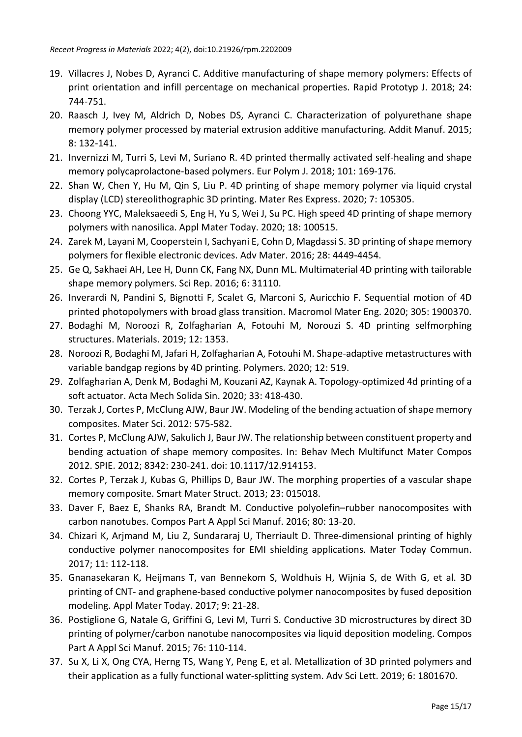- 19. Villacres J, Nobes D, Ayranci C. Additive manufacturing of shape memory polymers: Effects of print orientation and infill percentage on mechanical properties. Rapid Prototyp J. 2018; 24: 744-751.
- 20. Raasch J, Ivey M, Aldrich D, Nobes DS, Ayranci C. Characterization of polyurethane shape memory polymer processed by material extrusion additive manufacturing. Addit Manuf. 2015; 8: 132-141.
- 21. Invernizzi M, Turri S, Levi M, Suriano R. 4D printed thermally activated self-healing and shape memory polycaprolactone-based polymers. Eur Polym J. 2018; 101: 169-176.
- 22. Shan W, Chen Y, Hu M, Qin S, Liu P. 4D printing of shape memory polymer via liquid crystal display (LCD) stereolithographic 3D printing. Mater Res Express. 2020; 7: 105305.
- 23. Choong YYC, Maleksaeedi S, Eng H, Yu S, Wei J, Su PC. High speed 4D printing of shape memory polymers with nanosilica. Appl Mater Today. 2020; 18: 100515.
- 24. Zarek M, Layani M, Cooperstein I, Sachyani E, Cohn D, Magdassi S. 3D printing of shape memory polymers for flexible electronic devices. Adv Mater. 2016; 28: 4449-4454.
- 25. Ge Q, Sakhaei AH, Lee H, Dunn CK, Fang NX, Dunn ML. Multimaterial 4D printing with tailorable shape memory polymers. Sci Rep. 2016; 6: 31110.
- 26. Inverardi N, Pandini S, Bignotti F, Scalet G, Marconi S, Auricchio F. Sequential motion of 4D printed photopolymers with broad glass transition. Macromol Mater Eng. 2020; 305: 1900370.
- 27. Bodaghi M, Noroozi R, Zolfagharian A, Fotouhi M, Norouzi S. 4D printing selfmorphing structures. Materials. 2019; 12: 1353.
- 28. Noroozi R, Bodaghi M, Jafari H, Zolfagharian A, Fotouhi M. Shape-adaptive metastructures with variable bandgap regions by 4D printing. Polymers. 2020; 12: 519.
- 29. Zolfagharian A, Denk M, Bodaghi M, Kouzani AZ, Kaynak A. Topology-optimized 4d printing of a soft actuator. Acta Mech Solida Sin. 2020; 33: 418-430.
- 30. Terzak J, Cortes P, McClung AJW, Baur JW. Modeling of the bending actuation ofshape memory composites. Mater Sci. 2012: 575-582.
- 31. Cortes P, McClung AJW, Sakulich J, Baur JW. The relationship between constituent property and bending actuation of shape memory composites. In: Behav Mech Multifunct Mater Compos 2012. SPIE. 2012; 8342: 230-241. doi: 10.1117/12.914153.
- 32. Cortes P, Terzak J, Kubas G, Phillips D, Baur JW. The morphing properties of a vascular shape memory composite. Smart Mater Struct. 2013; 23: 015018.
- 33. Daver F, Baez E, Shanks RA, Brandt M. Conductive polyolefin–rubber nanocomposites with carbon nanotubes. Compos Part A Appl Sci Manuf. 2016; 80: 13-20.
- 34. Chizari K, Arjmand M, Liu Z, Sundararaj U, Therriault D. Three-dimensional printing of highly conductive polymer nanocomposites for EMI shielding applications. Mater Today Commun. 2017; 11: 112-118.
- 35. Gnanasekaran K, Heijmans T, van Bennekom S, Woldhuis H, Wijnia S, de With G, et al. 3D printing of CNT- and graphene-based conductive polymer nanocomposites by fused deposition modeling. Appl Mater Today. 2017; 9: 21-28.
- 36. Postiglione G, Natale G, Griffini G, Levi M, Turri S. Conductive 3D microstructures by direct 3D printing of polymer/carbon nanotube nanocomposites via liquid deposition modeling. Compos Part A Appl Sci Manuf. 2015; 76: 110-114.
- 37. Su X, Li X, Ong CYA, Herng TS, Wang Y, Peng E, et al. Metallization of 3D printed polymers and their application as a fully functional water-splitting system. Adv Sci Lett. 2019; 6: 1801670.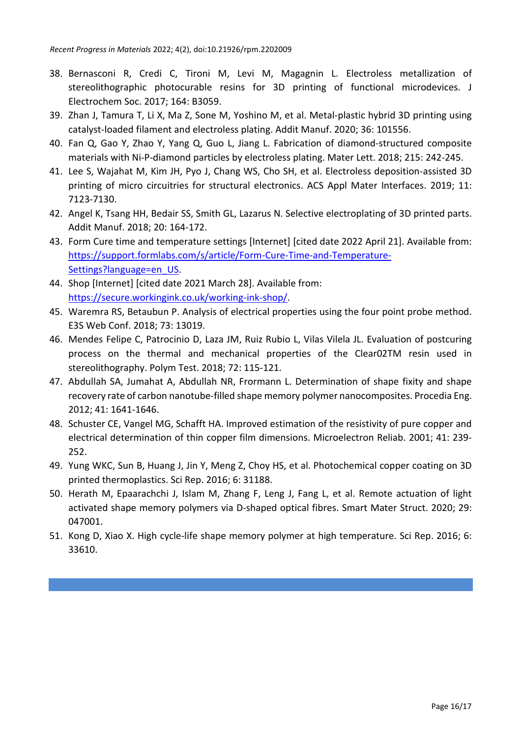- 38. Bernasconi R, Credi C, Tironi M, Levi M, Magagnin L. Electroless metallization of stereolithographic photocurable resins for 3D printing of functional microdevices. J Electrochem Soc. 2017; 164: B3059.
- 39. Zhan J, Tamura T, Li X, Ma Z, Sone M, Yoshino M, et al. Metal-plastic hybrid 3D printing using catalyst-loaded filament and electroless plating. Addit Manuf. 2020; 36: 101556.
- 40. Fan Q, Gao Y, Zhao Y, Yang Q, Guo L, Jiang L. Fabrication of diamond-structured composite materials with Ni-P-diamond particles by electroless plating. Mater Lett. 2018; 215: 242-245.
- 41. Lee S, Wajahat M, Kim JH, Pyo J, Chang WS, Cho SH, et al. Electroless deposition-assisted 3D printing of micro circuitries for structural electronics. ACS Appl Mater Interfaces. 2019; 11: 7123-7130.
- 42. Angel K, Tsang HH, Bedair SS, Smith GL, Lazarus N. Selective electroplating of 3D printed parts. Addit Manuf. 2018; 20: 164-172.
- 43. Form Cure time and temperature settings [Internet] [cited date 2022 April 21]. Available from: [https://support.formlabs.com/s/article/Form-Cure-Time-and-Temperature-](https://support.formlabs.com/s/article/Form-Cure-Time-and-Temperature-Settings?language=en_US)[Settings?language=en\\_US.](https://support.formlabs.com/s/article/Form-Cure-Time-and-Temperature-Settings?language=en_US)
- 44. Shop [Internet] [cited date 2021 March 28]. Available from: [https://secure.workingink.co.uk/working-ink-shop/.](https://secure.workingink.co.uk/working-ink-shop/)
- 45. Waremra RS, Betaubun P. Analysis of electrical properties using the four point probe method. E3S Web Conf. 2018; 73: 13019.
- 46. Mendes Felipe C, Patrocinio D, Laza JM, Ruiz Rubio L, Vilas Vilela JL. Evaluation of postcuring process on the thermal and mechanical properties of the Clear02TM resin used in stereolithography. Polym Test. 2018; 72: 115-121.
- 47. Abdullah SA, Jumahat A, Abdullah NR, Frormann L. Determination of shape fixity and shape recovery rate of carbon nanotube-filled shape memory polymer nanocomposites. Procedia Eng. 2012; 41: 1641-1646.
- 48. Schuster CE, Vangel MG, Schafft HA. Improved estimation of the resistivity of pure copper and electrical determination of thin copper film dimensions. Microelectron Reliab. 2001; 41: 239- 252.
- 49. Yung WKC, Sun B, Huang J, Jin Y, Meng Z, Choy HS, et al. Photochemical copper coating on 3D printed thermoplastics. Sci Rep. 2016; 6: 31188.
- 50. Herath M, Epaarachchi J, Islam M, Zhang F, Leng J, Fang L, et al. Remote actuation of light activated shape memory polymers via D-shaped optical fibres. Smart Mater Struct. 2020; 29: 047001.
- 51. Kong D, Xiao X. High cycle-life shape memory polymer at high temperature. Sci Rep. 2016; 6: 33610.